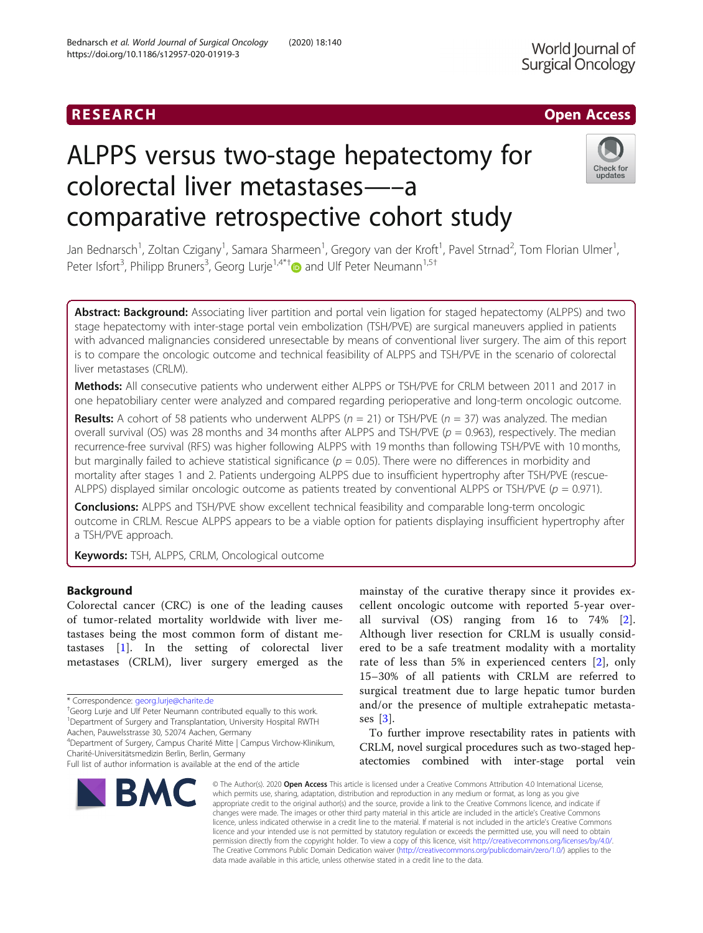# ALPPS versus two-stage hepatectomy for colorectal liver metastases—–a comparative retrospective cohort study



Jan Bednarsch<sup>1</sup>, Zoltan Czigany<sup>1</sup>, Samara Sharmeen<sup>1</sup>, Gregory van der Kroft<sup>1</sup>, Pavel Strnad<sup>2</sup>, Tom Florian Ulmer<sup>1</sup> , Peter Isfort<sup>3</sup>, Philipp Bruners<sup>3</sup>, Georg Lurje<sup>1,4\*†</sup> and Ulf Peter Neumann<sup>1,5†</sup>

Abstract: Background: Associating liver partition and portal vein ligation for staged hepatectomy (ALPPS) and two stage hepatectomy with inter-stage portal vein embolization (TSH/PVE) are surgical maneuvers applied in patients with advanced malignancies considered unresectable by means of conventional liver surgery. The aim of this report is to compare the oncologic outcome and technical feasibility of ALPPS and TSH/PVE in the scenario of colorectal liver metastases (CRLM).

Methods: All consecutive patients who underwent either ALPPS or TSH/PVE for CRLM between 2011 and 2017 in one hepatobiliary center were analyzed and compared regarding perioperative and long-term oncologic outcome.

**Results:** A cohort of 58 patients who underwent ALPPS ( $n = 21$ ) or TSH/PVE ( $n = 37$ ) was analyzed. The median overall survival (OS) was 28 months and 34 months after ALPPS and TSH/PVE ( $p = 0.963$ ), respectively. The median recurrence-free survival (RFS) was higher following ALPPS with 19 months than following TSH/PVE with 10 months, but marginally failed to achieve statistical significance ( $p = 0.05$ ). There were no differences in morbidity and mortality after stages 1 and 2. Patients undergoing ALPPS due to insufficient hypertrophy after TSH/PVE (rescue-ALPPS) displayed similar oncologic outcome as patients treated by conventional ALPPS or TSH/PVE ( $p = 0.971$ ).

**Conclusions:** ALPPS and TSH/PVE show excellent technical feasibility and comparable long-term oncologic outcome in CRLM. Rescue ALPPS appears to be a viable option for patients displaying insufficient hypertrophy after a TSH/PVE approach.

Keywords: TSH, ALPPS, CRLM, Oncological outcome

# Background

Colorectal cancer (CRC) is one of the leading causes of tumor-related mortality worldwide with liver metastases being the most common form of distant metastases [[1\]](#page-11-0). In the setting of colorectal liver metastases (CRLM), liver surgery emerged as the

<sup>+</sup>Georg Lurje and Ulf Peter Neumann contributed equally to this work. <sup>1</sup>Department of Surgery and Transplantation, University Hospital RWTH

Aachen, Pauwelsstrasse 30, 52074 Aachen, Germany

4 Department of Surgery, Campus Charité Mitte | Campus Virchow-Klinikum, Charité-Universitätsmedizin Berlin, Berlin, Germany

Full list of author information is available at the end of the article



mainstay of the curative therapy since it provides excellent oncologic outcome with reported 5-year overall survival (OS) ranging from 16 to 74% [\[2](#page-11-0)]. Although liver resection for CRLM is usually considered to be a safe treatment modality with a mortality rate of less than 5% in experienced centers [\[2](#page-11-0)], only 15–30% of all patients with CRLM are referred to surgical treatment due to large hepatic tumor burden and/or the presence of multiple extrahepatic metastases [\[3](#page-11-0)].

To further improve resectability rates in patients with CRLM, novel surgical procedures such as two-staged hepatectomies combined with inter-stage portal vein

© The Author(s), 2020 **Open Access** This article is licensed under a Creative Commons Attribution 4.0 International License, which permits use, sharing, adaptation, distribution and reproduction in any medium or format, as long as you give appropriate credit to the original author(s) and the source, provide a link to the Creative Commons licence, and indicate if changes were made. The images or other third party material in this article are included in the article's Creative Commons licence, unless indicated otherwise in a credit line to the material. If material is not included in the article's Creative Commons licence and your intended use is not permitted by statutory regulation or exceeds the permitted use, you will need to obtain permission directly from the copyright holder. To view a copy of this licence, visit [http://creativecommons.org/licenses/by/4.0/.](http://creativecommons.org/licenses/by/4.0/) The Creative Commons Public Domain Dedication waiver [\(http://creativecommons.org/publicdomain/zero/1.0/](http://creativecommons.org/publicdomain/zero/1.0/)) applies to the data made available in this article, unless otherwise stated in a credit line to the data.

<sup>\*</sup> Correspondence: [georg.lurje@charite.de](mailto:georg.lurje@charite.de) †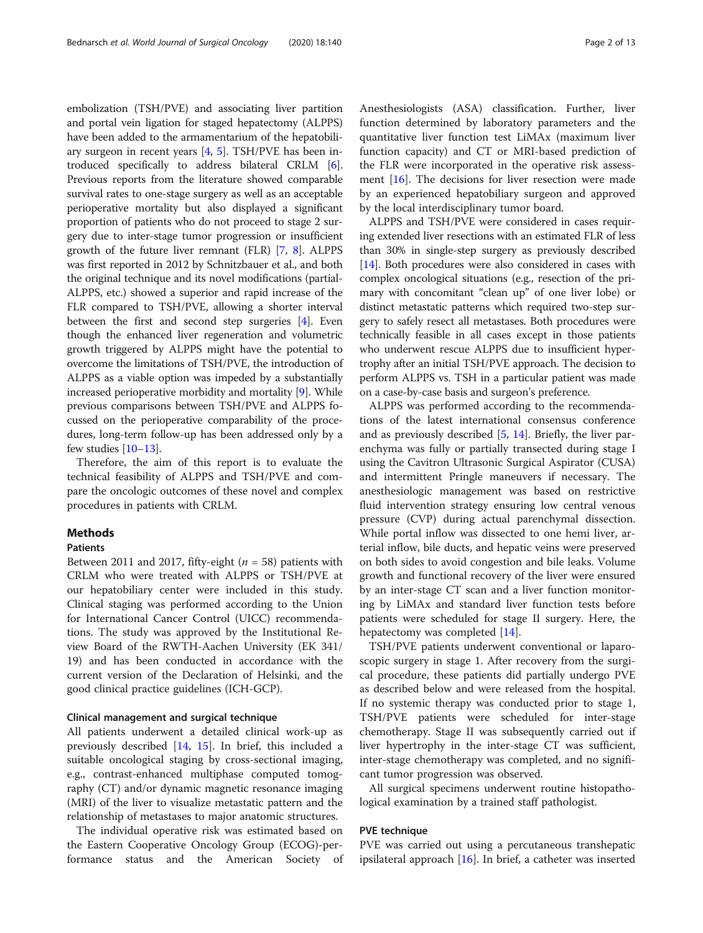embolization (TSH/PVE) and associating liver partition and portal vein ligation for staged hepatectomy (ALPPS) have been added to the armamentarium of the hepatobiliary surgeon in recent years  $[4, 5]$  $[4, 5]$  $[4, 5]$ . TSH/PVE has been introduced specifically to address bilateral CRLM [[6](#page-11-0)]. Previous reports from the literature showed comparable survival rates to one-stage surgery as well as an acceptable perioperative mortality but also displayed a significant proportion of patients who do not proceed to stage 2 surgery due to inter-stage tumor progression or insufficient growth of the future liver remnant (FLR) [[7,](#page-11-0) [8\]](#page-11-0). ALPPS was first reported in 2012 by Schnitzbauer et al., and both the original technique and its novel modifications (partial-ALPPS, etc.) showed a superior and rapid increase of the FLR compared to TSH/PVE, allowing a shorter interval between the first and second step surgeries [\[4](#page-11-0)]. Even though the enhanced liver regeneration and volumetric growth triggered by ALPPS might have the potential to overcome the limitations of TSH/PVE, the introduction of ALPPS as a viable option was impeded by a substantially increased perioperative morbidity and mortality [\[9](#page-11-0)]. While previous comparisons between TSH/PVE and ALPPS focussed on the perioperative comparability of the procedures, long-term follow-up has been addressed only by a few studies [[10](#page-11-0)–[13\]](#page-11-0).

Therefore, the aim of this report is to evaluate the technical feasibility of ALPPS and TSH/PVE and compare the oncologic outcomes of these novel and complex procedures in patients with CRLM.

# **Methods**

# Patients

Between 2011 and 2017, fifty-eight ( $n = 58$ ) patients with CRLM who were treated with ALPPS or TSH/PVE at our hepatobiliary center were included in this study. Clinical staging was performed according to the Union for International Cancer Control (UICC) recommendations. The study was approved by the Institutional Review Board of the RWTH-Aachen University (EK 341/ 19) and has been conducted in accordance with the current version of the Declaration of Helsinki, and the good clinical practice guidelines (ICH-GCP).

# Clinical management and surgical technique

All patients underwent a detailed clinical work-up as previously described [[14,](#page-12-0) [15\]](#page-12-0). In brief, this included a suitable oncological staging by cross-sectional imaging, e.g., contrast-enhanced multiphase computed tomography (CT) and/or dynamic magnetic resonance imaging (MRI) of the liver to visualize metastatic pattern and the relationship of metastases to major anatomic structures.

The individual operative risk was estimated based on the Eastern Cooperative Oncology Group (ECOG)-performance status and the American Society of

Anesthesiologists (ASA) classification. Further, liver function determined by laboratory parameters and the quantitative liver function test LiMAx (maximum liver function capacity) and CT or MRI-based prediction of the FLR were incorporated in the operative risk assessment  $[16]$ . The decisions for liver resection were made by an experienced hepatobiliary surgeon and approved by the local interdisciplinary tumor board.

ALPPS and TSH/PVE were considered in cases requiring extended liver resections with an estimated FLR of less than 30% in single-step surgery as previously described [[14](#page-12-0)]. Both procedures were also considered in cases with complex oncological situations (e.g., resection of the primary with concomitant "clean up" of one liver lobe) or distinct metastatic patterns which required two-step surgery to safely resect all metastases. Both procedures were technically feasible in all cases except in those patients who underwent rescue ALPPS due to insufficient hypertrophy after an initial TSH/PVE approach. The decision to perform ALPPS vs. TSH in a particular patient was made on a case-by-case basis and surgeon's preference.

ALPPS was performed according to the recommendations of the latest international consensus conference and as previously described [\[5](#page-11-0), [14](#page-12-0)]. Briefly, the liver parenchyma was fully or partially transected during stage I using the Cavitron Ultrasonic Surgical Aspirator (CUSA) and intermittent Pringle maneuvers if necessary. The anesthesiologic management was based on restrictive fluid intervention strategy ensuring low central venous pressure (CVP) during actual parenchymal dissection. While portal inflow was dissected to one hemi liver, arterial inflow, bile ducts, and hepatic veins were preserved on both sides to avoid congestion and bile leaks. Volume growth and functional recovery of the liver were ensured by an inter-stage CT scan and a liver function monitoring by LiMAx and standard liver function tests before patients were scheduled for stage II surgery. Here, the hepatectomy was completed [[14](#page-12-0)].

TSH/PVE patients underwent conventional or laparoscopic surgery in stage 1. After recovery from the surgical procedure, these patients did partially undergo PVE as described below and were released from the hospital. If no systemic therapy was conducted prior to stage 1, TSH/PVE patients were scheduled for inter-stage chemotherapy. Stage II was subsequently carried out if liver hypertrophy in the inter-stage CT was sufficient, inter-stage chemotherapy was completed, and no significant tumor progression was observed.

All surgical specimens underwent routine histopathological examination by a trained staff pathologist.

### PVE technique

PVE was carried out using a percutaneous transhepatic ipsilateral approach [[16\]](#page-12-0). In brief, a catheter was inserted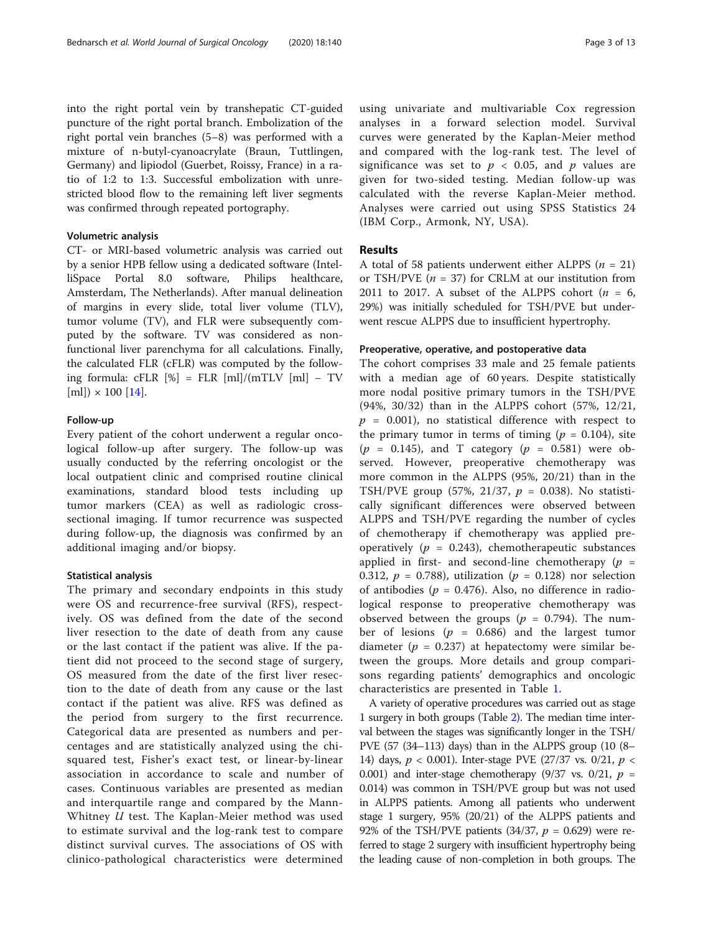into the right portal vein by transhepatic CT-guided puncture of the right portal branch. Embolization of the right portal vein branches (5–8) was performed with a mixture of n-butyl-cyanoacrylate (Braun, Tuttlingen, Germany) and lipiodol (Guerbet, Roissy, France) in a ratio of 1:2 to 1:3. Successful embolization with unrestricted blood flow to the remaining left liver segments was confirmed through repeated portography.

# Volumetric analysis

CT- or MRI-based volumetric analysis was carried out by a senior HPB fellow using a dedicated software (IntelliSpace Portal 8.0 software, Philips healthcare, Amsterdam, The Netherlands). After manual delineation of margins in every slide, total liver volume (TLV), tumor volume (TV), and FLR were subsequently computed by the software. TV was considered as nonfunctional liver parenchyma for all calculations. Finally, the calculated FLR (cFLR) was computed by the following formula:  $cFLR$  [%] =  $FLR$  [ml]/(mTLV [ml] – TV  $[m] \times 100 [14]$  $[m] \times 100 [14]$  $[m] \times 100 [14]$ .

# Follow-up

Every patient of the cohort underwent a regular oncological follow-up after surgery. The follow-up was usually conducted by the referring oncologist or the local outpatient clinic and comprised routine clinical examinations, standard blood tests including up tumor markers (CEA) as well as radiologic crosssectional imaging. If tumor recurrence was suspected during follow-up, the diagnosis was confirmed by an additional imaging and/or biopsy.

# Statistical analysis

The primary and secondary endpoints in this study were OS and recurrence-free survival (RFS), respectively. OS was defined from the date of the second liver resection to the date of death from any cause or the last contact if the patient was alive. If the patient did not proceed to the second stage of surgery, OS measured from the date of the first liver resection to the date of death from any cause or the last contact if the patient was alive. RFS was defined as the period from surgery to the first recurrence. Categorical data are presented as numbers and percentages and are statistically analyzed using the chisquared test, Fisher's exact test, or linear-by-linear association in accordance to scale and number of cases. Continuous variables are presented as median and interquartile range and compared by the Mann-Whitney *U* test. The Kaplan-Meier method was used to estimate survival and the log-rank test to compare distinct survival curves. The associations of OS with clinico-pathological characteristics were determined

using univariate and multivariable Cox regression analyses in a forward selection model. Survival curves were generated by the Kaplan-Meier method and compared with the log-rank test. The level of significance was set to  $p < 0.05$ , and p values are given for two-sided testing. Median follow-up was calculated with the reverse Kaplan-Meier method. Analyses were carried out using SPSS Statistics 24 (IBM Corp., Armonk, NY, USA).

# Results

A total of 58 patients underwent either ALPPS ( $n = 21$ ) or TSH/PVE ( $n = 37$ ) for CRLM at our institution from 2011 to 2017. A subset of the ALPPS cohort  $(n = 6,$ 29%) was initially scheduled for TSH/PVE but underwent rescue ALPPS due to insufficient hypertrophy.

# Preoperative, operative, and postoperative data

The cohort comprises 33 male and 25 female patients with a median age of 60 years. Despite statistically more nodal positive primary tumors in the TSH/PVE (94%, 30/32) than in the ALPPS cohort (57%, 12/21,  $p = 0.001$ , no statistical difference with respect to the primary tumor in terms of timing ( $p = 0.104$ ), site  $(p = 0.145)$ , and T category  $(p = 0.581)$  were observed. However, preoperative chemotherapy was more common in the ALPPS (95%, 20/21) than in the TSH/PVE group (57%, 21/37,  $p = 0.038$ ). No statistically significant differences were observed between ALPPS and TSH/PVE regarding the number of cycles of chemotherapy if chemotherapy was applied preoperatively ( $p = 0.243$ ), chemotherapeutic substances applied in first- and second-line chemotherapy ( $p =$ 0.312,  $p = 0.788$ , utilization ( $p = 0.128$ ) nor selection of antibodies ( $p = 0.476$ ). Also, no difference in radiological response to preoperative chemotherapy was observed between the groups ( $p = 0.794$ ). The number of lesions ( $p = 0.686$ ) and the largest tumor diameter ( $p = 0.237$ ) at hepatectomy were similar between the groups. More details and group comparisons regarding patients' demographics and oncologic characteristics are presented in Table [1.](#page-3-0)

A variety of operative procedures was carried out as stage 1 surgery in both groups (Table [2\)](#page-5-0). The median time interval between the stages was significantly longer in the TSH/ PVE (57 (34–113) days) than in the ALPPS group (10 (8– 14) days,  $p < 0.001$ ). Inter-stage PVE (27/37 vs. 0/21,  $p <$ 0.001) and inter-stage chemotherapy (9/37 vs. 0/21,  $p =$ 0.014) was common in TSH/PVE group but was not used in ALPPS patients. Among all patients who underwent stage 1 surgery, 95% (20/21) of the ALPPS patients and 92% of the TSH/PVE patients (34/37,  $p = 0.629$ ) were referred to stage 2 surgery with insufficient hypertrophy being the leading cause of non-completion in both groups. The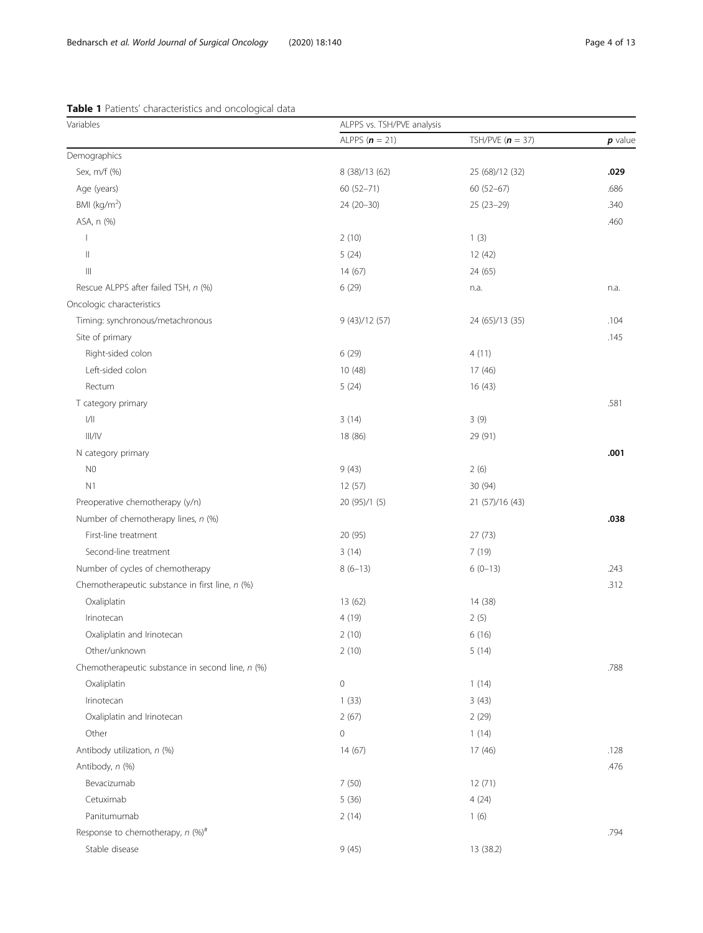| Variables                                        | ALPPS vs. TSH/PVE analysis |                    |           |  |
|--------------------------------------------------|----------------------------|--------------------|-----------|--|
|                                                  | ALPPS $(n = 21)$           | TSH/PVE $(n = 37)$ | $p$ value |  |
| Demographics                                     |                            |                    |           |  |
| Sex, m/f (%)                                     | 8 (38)/13 (62)             | 25 (68)/12 (32)    | .029      |  |
| Age (years)                                      | 60 (52-71)                 | 60 (52-67)         | .686      |  |
| BMI ( $kg/m2$ )                                  | $24(20-30)$                | 25 (23-29)         | .340      |  |
| ASA, n (%)                                       |                            |                    | .460      |  |
|                                                  | 2(10)                      | 1(3)               |           |  |
| $\parallel$                                      | 5(24)                      | 12 (42)            |           |  |
| Ш                                                | 14(67)                     | 24 (65)            |           |  |
| Rescue ALPPS after failed TSH, n (%)             | 6 (29)                     | n.a.               | n.a.      |  |
| Oncologic characteristics                        |                            |                    |           |  |
| Timing: synchronous/metachronous                 | 9(43)/12(57)               | 24 (65)/13 (35)    | .104      |  |
| Site of primary                                  |                            |                    | .145      |  |
| Right-sided colon                                | 6 (29)                     | 4(11)              |           |  |
| Left-sided colon                                 | 10 (48)                    | 17(46)             |           |  |
| Rectum                                           | 5(24)                      | 16(43)             |           |  |
| T category primary                               |                            |                    | .581      |  |
| $\frac{1}{1}$                                    | 3(14)                      | 3(9)               |           |  |
| III/IV                                           | 18 (86)                    | 29 (91)            |           |  |
| N category primary                               |                            |                    | .001      |  |
| N <sub>0</sub>                                   | 9(43)                      | 2(6)               |           |  |
| N1                                               | 12 (57)                    | 30 (94)            |           |  |
| Preoperative chemotherapy (y/n)                  | 20 (95)/1 (5)              | 21 (57)/16 (43)    |           |  |
| Number of chemotherapy lines, n (%)              |                            |                    | .038      |  |
| First-line treatment                             | 20 (95)                    | 27 (73)            |           |  |
| Second-line treatment                            | 3(14)                      | 7(19)              |           |  |
| Number of cycles of chemotherapy                 | $8(6-13)$                  | $6(0-13)$          | .243      |  |
| Chemotherapeutic substance in first line, n (%)  |                            |                    | .312      |  |
| Oxaliplatin                                      | 13(62)                     | 14 (38)            |           |  |
| Irinotecan                                       | 4 (19)                     | 2(5)               |           |  |
| Oxaliplatin and Irinotecan                       | 2(10)                      | 6(16)              |           |  |
| Other/unknown                                    | 2(10)                      | 5(14)              |           |  |
| Chemotherapeutic substance in second line, n (%) |                            |                    | .788      |  |
| Oxaliplatin                                      | $\mathsf{O}\xspace$        | 1(14)              |           |  |
| Irinotecan                                       | 1(33)                      | 3(43)              |           |  |
| Oxaliplatin and Irinotecan                       | 2(67)                      | 2(29)              |           |  |
| Other                                            | $\mathsf{O}\xspace$        | 1(14)              |           |  |
| Antibody utilization, n (%)                      | 14(67)                     | 17(46)             | .128      |  |
| Antibody, n (%)                                  |                            |                    | .476      |  |
| Bevacizumab                                      | 7(50)                      | 12(71)             |           |  |
| Cetuximab                                        | 5(36)                      | 4(24)              |           |  |
| Panitumumab                                      | 2(14)                      | 1(6)               |           |  |
| Response to chemotherapy, $n$ (%) <sup>#</sup>   |                            |                    | .794      |  |
| Stable disease                                   | 9(45)                      | 13 (38.2)          |           |  |

# <span id="page-3-0"></span>Table 1 Patients' characteristics and oncological data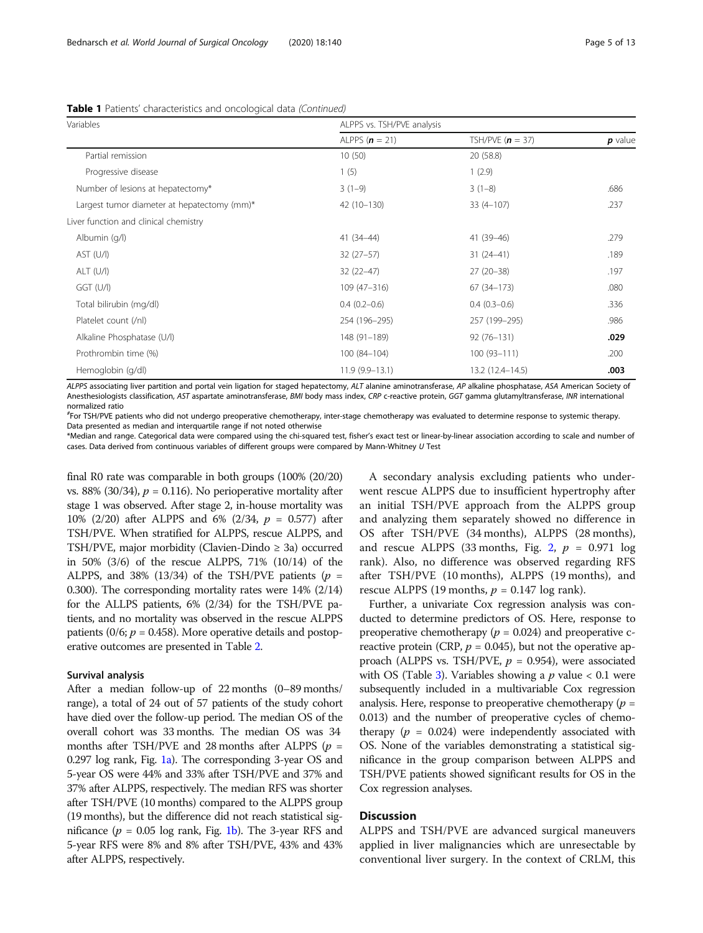| Variables                                   | ALPPS vs. TSH/PVE analysis |                    |           |  |
|---------------------------------------------|----------------------------|--------------------|-----------|--|
|                                             | ALPPS $(n = 21)$           | TSH/PVE $(n = 37)$ | $p$ value |  |
| Partial remission                           | 10(50)                     | 20 (58.8)          |           |  |
| Progressive disease                         | 1(5)                       | 1(2.9)             |           |  |
| Number of lesions at hepatectomy*           | $3(1-9)$                   | $3(1-8)$           | .686      |  |
| Largest tumor diameter at hepatectomy (mm)* | 42 (10-130)                | $33(4-107)$        | .237      |  |
| Liver function and clinical chemistry       |                            |                    |           |  |
| Albumin (g/l)                               | $41(34-44)$                | 41 (39-46)         | .279      |  |
| AST (U/I)                                   | $32(27-57)$                | $31(24-41)$        | .189      |  |
| $ALT$ (U/I)                                 | $32(22-47)$                | $27(20-38)$        | .197      |  |
| $GGT$ (U/I)                                 | $109(47 - 316)$            | $67(34 - 173)$     | .080      |  |
| Total bilirubin (mg/dl)                     | $0.4(0.2-0.6)$             | $0.4(0.3-0.6)$     | .336      |  |
| Platelet count (/nl)                        | 254 (196-295)              | 257 (199-295)      | .986      |  |
| Alkaline Phosphatase (U/l)                  | 148 (91-189)               | $92(76 - 131)$     | .029      |  |
| Prothrombin time (%)                        | 100 (84-104)               | $100(93 - 111)$    | .200      |  |
| Hemoglobin (g/dl)                           | $11.9(9.9-13.1)$           | 13.2 (12.4–14.5)   | .003      |  |

Table 1 Patients' characteristics and oncological data (Continued)

ALPPS associating liver partition and portal vein ligation for staged hepatectomy, ALT alanine aminotransferase, AP alkaline phosphatase, ASA American Society of Anesthesiologists classification, AST aspartate aminotransferase, BMI body mass index, CRP c-reactive protein, GGT gamma glutamyltransferase, INR international normalized ratio

# For TSH/PVE patients who did not undergo preoperative chemotherapy, inter-stage chemotherapy was evaluated to determine response to systemic therapy. Data presented as median and interquartile range if not noted otherwise

\*Median and range. Categorical data were compared using the chi-squared test, fisher's exact test or linear-by-linear association according to scale and number of cases. Data derived from continuous variables of different groups were compared by Mann-Whitney U Test

final R0 rate was comparable in both groups (100% (20/20) vs. 88% (30/34),  $p = 0.116$ ). No perioperative mortality after stage 1 was observed. After stage 2, in-house mortality was 10% (2/20) after ALPPS and 6% (2/34,  $p = 0.577$ ) after TSH/PVE. When stratified for ALPPS, rescue ALPPS, and TSH/PVE, major morbidity (Clavien-Dindo  $\geq$  3a) occurred in 50% (3/6) of the rescue ALPPS, 71% (10/14) of the ALPPS, and 38% (13/34) of the TSH/PVE patients ( $p =$ 0.300). The corresponding mortality rates were 14% (2/14) for the ALLPS patients, 6% (2/34) for the TSH/PVE patients, and no mortality was observed in the rescue ALPPS patients (0/6;  $p = 0.458$ ). More operative details and postoperative outcomes are presented in Table [2.](#page-5-0)

# Survival analysis

After a median follow-up of 22 months (0–89 months/ range), a total of 24 out of 57 patients of the study cohort have died over the follow-up period. The median OS of the overall cohort was 33 months. The median OS was 34 months after TSH/PVE and 28 months after ALPPS ( $p =$ 0.297 log rank, Fig. [1a](#page-7-0)). The corresponding 3-year OS and 5-year OS were 44% and 33% after TSH/PVE and 37% and 37% after ALPPS, respectively. The median RFS was shorter after TSH/PVE (10 months) compared to the ALPPS group (19 months), but the difference did not reach statistical significance ( $p = 0.05$  log rank, Fig. [1b](#page-7-0)). The 3-year RFS and 5-year RFS were 8% and 8% after TSH/PVE, 43% and 43% after ALPPS, respectively.

A secondary analysis excluding patients who underwent rescue ALPPS due to insufficient hypertrophy after an initial TSH/PVE approach from the ALPPS group and analyzing them separately showed no difference in OS after TSH/PVE (34 months), ALPPS (28 months), and rescue ALPPS (33 months, Fig. [2](#page-8-0),  $p = 0.971$  log rank). Also, no difference was observed regarding RFS after TSH/PVE (10 months), ALPPS (19 months), and rescue ALPPS (19 months,  $p = 0.147 \log \text{rank}$ ).

Further, a univariate Cox regression analysis was conducted to determine predictors of OS. Here, response to preoperative chemotherapy ( $p = 0.024$ ) and preoperative creactive protein (CRP,  $p = 0.045$ ), but not the operative approach (ALPPS vs. TSH/PVE,  $p = 0.954$ ), were associated with OS (Table [3\)](#page-9-0). Variables showing a  $p$  value  $< 0.1$  were subsequently included in a multivariable Cox regression analysis. Here, response to preoperative chemotherapy ( $p =$ 0.013) and the number of preoperative cycles of chemotherapy ( $p = 0.024$ ) were independently associated with OS. None of the variables demonstrating a statistical significance in the group comparison between ALPPS and TSH/PVE patients showed significant results for OS in the Cox regression analyses.

# Discussion

ALPPS and TSH/PVE are advanced surgical maneuvers applied in liver malignancies which are unresectable by conventional liver surgery. In the context of CRLM, this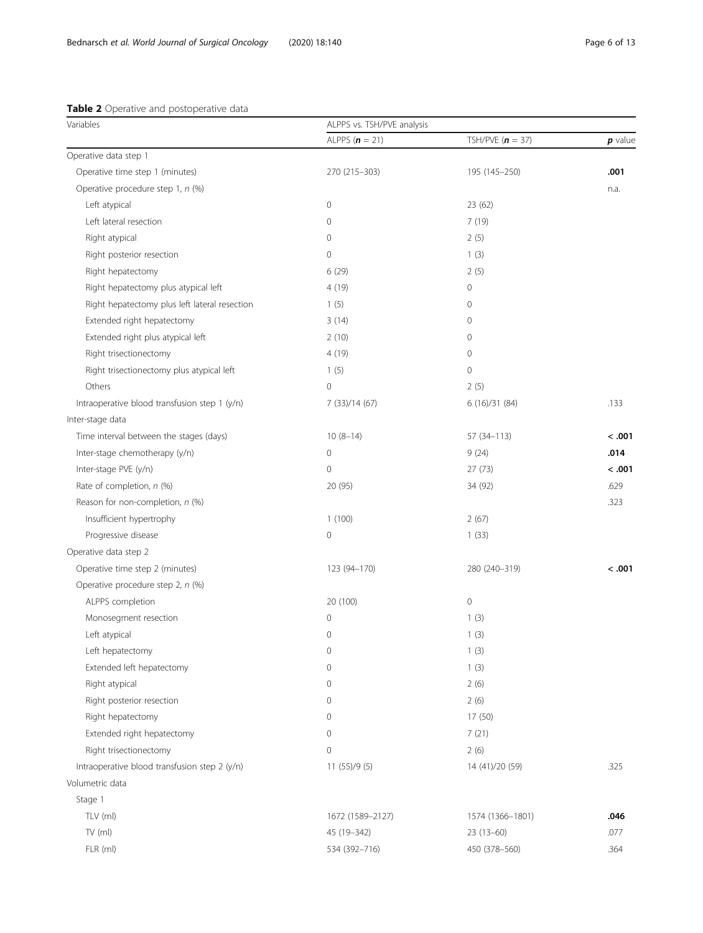<span id="page-5-0"></span>

| <b>Table 2</b> Operative and postoperative data |  |  |
|-------------------------------------------------|--|--|
|-------------------------------------------------|--|--|

| Variables                                     | ALPPS vs. TSH/PVE analysis |                    |           |  |
|-----------------------------------------------|----------------------------|--------------------|-----------|--|
|                                               | ALPPS $(n = 21)$           | TSH/PVE $(n = 37)$ | $p$ value |  |
| Operative data step 1                         |                            |                    |           |  |
| Operative time step 1 (minutes)               | 270 (215-303)              | 195 (145-250)      | .001      |  |
| Operative procedure step 1, n (%)             |                            |                    | n.a.      |  |
| Left atypical                                 | $\mathbf 0$                | 23(62)             |           |  |
| Left lateral resection                        | $\mathbf 0$                | 7(19)              |           |  |
| Right atypical                                | 0                          | 2(5)               |           |  |
| Right posterior resection                     | $\mathbf{0}$               | 1(3)               |           |  |
| Right hepatectomy                             | 6(29)                      | 2(5)               |           |  |
| Right hepatectomy plus atypical left          | 4(19)                      | 0                  |           |  |
| Right hepatectomy plus left lateral resection | 1(5)                       | 0                  |           |  |
| Extended right hepatectomy                    | 3(14)                      | 0                  |           |  |
| Extended right plus atypical left             | 2(10)                      | $\mathbf 0$        |           |  |
| Right trisectionectomy                        | 4 (19)                     | 0                  |           |  |
| Right trisectionectomy plus atypical left     | 1(5)                       | 0                  |           |  |
| Others                                        | $\mathbf 0$                | 2(5)               |           |  |
| Intraoperative blood transfusion step 1 (y/n) | 7 (33)/14 (67)             | 6(16)/31(84)       | .133      |  |
| Inter-stage data                              |                            |                    |           |  |
| Time interval between the stages (days)       | $10(8-14)$                 | 57 (34-113)        | < .001    |  |
| Inter-stage chemotherapy (y/n)                | $\mathbf 0$                | 9(24)              | .014      |  |
| Inter-stage PVE (y/n)                         | $\mathbf 0$                | 27(73)             | < .001    |  |
| Rate of completion, n (%)                     | 20 (95)                    | 34 (92)            | .629      |  |
| Reason for non-completion, n (%)              |                            |                    | .323      |  |
| Insufficient hypertrophy                      | 1(100)                     | 2(67)              |           |  |
| Progressive disease                           | 0                          | 1(33)              |           |  |
| Operative data step 2                         |                            |                    |           |  |
| Operative time step 2 (minutes)               | 123 (94-170)               | 280 (240-319)      | < .001    |  |
| Operative procedure step 2, n (%)             |                            |                    |           |  |
| ALPPS completion                              | 20 (100)                   | $\circ$            |           |  |
| Monosegment resection                         | $\mathbf 0$                | 1(3)               |           |  |
| Left atypical                                 | 0                          | 1(3)               |           |  |
| Left hepatectomy                              | 0                          | 1(3)               |           |  |
| Extended left hepatectomy                     | $\mathbf 0$                | 1(3)               |           |  |
| Right atypical                                | 0                          | 2(6)               |           |  |
| Right posterior resection                     | $\mathbf{0}$               | 2(6)               |           |  |
| Right hepatectomy                             | 0                          | 17 (50)            |           |  |
| Extended right hepatectomy                    | 0                          | 7(21)              |           |  |
| Right trisectionectomy                        | $\mathbf 0$                | 2(6)               |           |  |
| Intraoperative blood transfusion step 2 (y/n) | 11(55)/9(5)                | 14 (41)/20 (59)    | .325      |  |
| Volumetric data                               |                            |                    |           |  |
| Stage 1                                       |                            |                    |           |  |
| TLV (ml)                                      | 1672 (1589-2127)           | 1574 (1366-1801)   | .046      |  |
| $TV$ (ml)                                     | 45 (19-342)                | $23(13-60)$        | .077      |  |
| FLR (ml)                                      | 534 (392-716)              | 450 (378-560)      | .364      |  |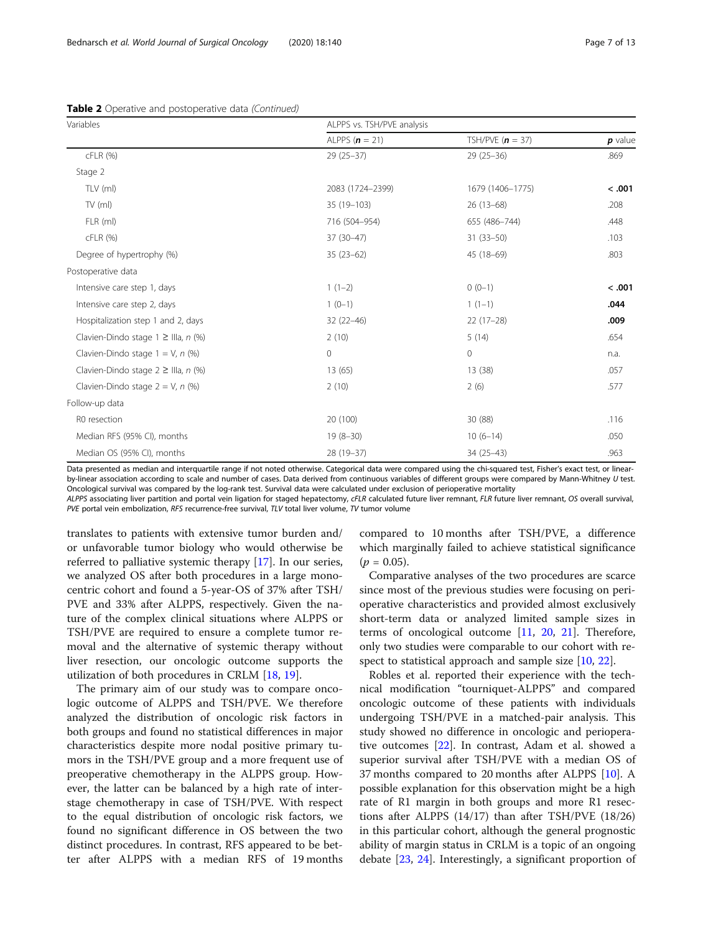| Variables                                | ALPPS vs. TSH/PVE analysis |                    |           |
|------------------------------------------|----------------------------|--------------------|-----------|
|                                          | ALPPS $(n = 21)$           | TSH/PVE $(n = 37)$ | $p$ value |
| cFLR (%)                                 | $29(25-37)$                | $29(25-36)$        | .869      |
| Stage 2                                  |                            |                    |           |
| TLV (ml)                                 | 2083 (1724-2399)           | 1679 (1406-1775)   | < .001    |
| $TV$ (ml)                                | 35 (19-103)                | $26(13-68)$        | .208      |
| FLR (ml)                                 | 716 (504-954)              | 655 (486-744)      | .448      |
| cFLR (%)                                 | 37 (30-47)                 | $31(33 - 50)$      | .103      |
| Degree of hypertrophy (%)                | $35(23-62)$                | 45 (18-69)         | .803      |
| Postoperative data                       |                            |                    |           |
| Intensive care step 1, days              | $1(1-2)$                   | $0(0-1)$           | < .001    |
| Intensive care step 2, days              | $1(0-1)$                   | $1(1-1)$           | .044      |
| Hospitalization step 1 and 2, days       | $32(22 - 46)$              | $22(17-28)$        | .009      |
| Clavien-Dindo stage $1 \geq$ IIIa, n (%) | 2(10)                      | 5(14)              | .654      |
| Clavien-Dindo stage $1 = V$ , n $(\%)$   | $\mathbf 0$                | $\circ$            | n.a.      |
| Clavien-Dindo stage $2 \geq$ IIIa, n (%) | 13 (65)                    | 13 (38)            | .057      |
| Clavien-Dindo stage $2 = V$ , n $(\%)$   | 2(10)                      | 2(6)               | .577      |
| Follow-up data                           |                            |                    |           |
| R0 resection                             | 20 (100)                   | 30 (88)            | .116      |
| Median RFS (95% CI), months              | $19(8-30)$                 | $10(6-14)$         | .050      |
| Median OS (95% CI), months               | 28 (19-37)                 | 34 (25-43)         | .963      |

Table 2 Operative and postoperative data (Continued)

Data presented as median and interquartile range if not noted otherwise. Categorical data were compared using the chi-squared test, Fisher's exact test, or linearby-linear association according to scale and number of cases. Data derived from continuous variables of different groups were compared by Mann-Whitney U test. Oncological survival was compared by the log-rank test. Survival data were calculated under exclusion of perioperative mortality

ALPPS associating liver partition and portal vein ligation for staged hepatectomy, cFLR calculated future liver remnant, FLR future liver remnant, OS overall survival, PVE portal vein embolization, RFS recurrence-free survival, TLV total liver volume, TV tumor volume

translates to patients with extensive tumor burden and/ or unfavorable tumor biology who would otherwise be referred to palliative systemic therapy [\[17\]](#page-12-0). In our series, we analyzed OS after both procedures in a large monocentric cohort and found a 5-year-OS of 37% after TSH/ PVE and 33% after ALPPS, respectively. Given the nature of the complex clinical situations where ALPPS or TSH/PVE are required to ensure a complete tumor removal and the alternative of systemic therapy without liver resection, our oncologic outcome supports the utilization of both procedures in CRLM [[18,](#page-12-0) [19\]](#page-12-0).

The primary aim of our study was to compare oncologic outcome of ALPPS and TSH/PVE. We therefore analyzed the distribution of oncologic risk factors in both groups and found no statistical differences in major characteristics despite more nodal positive primary tumors in the TSH/PVE group and a more frequent use of preoperative chemotherapy in the ALPPS group. However, the latter can be balanced by a high rate of interstage chemotherapy in case of TSH/PVE. With respect to the equal distribution of oncologic risk factors, we found no significant difference in OS between the two distinct procedures. In contrast, RFS appeared to be better after ALPPS with a median RFS of 19 months compared to 10 months after TSH/PVE, a difference which marginally failed to achieve statistical significance  $(p = 0.05)$ .

Comparative analyses of the two procedures are scarce since most of the previous studies were focusing on perioperative characteristics and provided almost exclusively short-term data or analyzed limited sample sizes in terms of oncological outcome [[11](#page-11-0), [20,](#page-12-0) [21\]](#page-12-0). Therefore, only two studies were comparable to our cohort with re-spect to statistical approach and sample size [[10,](#page-11-0) [22\]](#page-12-0).

Robles et al. reported their experience with the technical modification "tourniquet-ALPPS" and compared oncologic outcome of these patients with individuals undergoing TSH/PVE in a matched-pair analysis. This study showed no difference in oncologic and perioperative outcomes [\[22\]](#page-12-0). In contrast, Adam et al. showed a superior survival after TSH/PVE with a median OS of 37 months compared to 20 months after ALPPS [[10](#page-11-0)]. A possible explanation for this observation might be a high rate of R1 margin in both groups and more R1 resections after ALPPS (14/17) than after TSH/PVE (18/26) in this particular cohort, although the general prognostic ability of margin status in CRLM is a topic of an ongoing debate [\[23](#page-12-0), [24\]](#page-12-0). Interestingly, a significant proportion of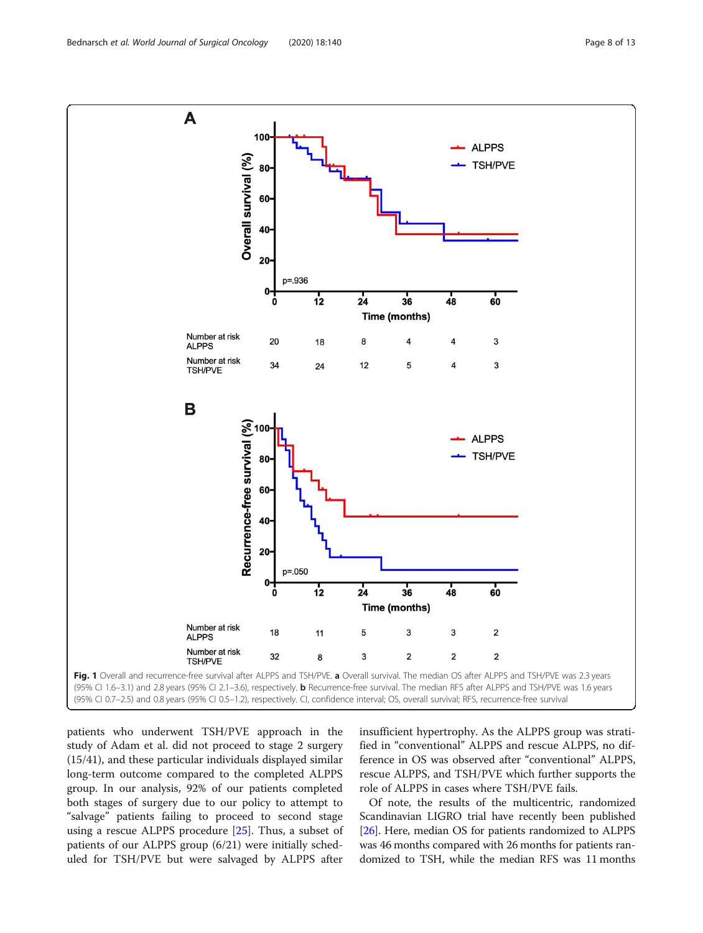<span id="page-7-0"></span>

patients who underwent TSH/PVE approach in the study of Adam et al. did not proceed to stage 2 surgery (15/41), and these particular individuals displayed similar long-term outcome compared to the completed ALPPS group. In our analysis, 92% of our patients completed both stages of surgery due to our policy to attempt to "salvage" patients failing to proceed to second stage using a rescue ALPPS procedure [[25\]](#page-12-0). Thus, a subset of patients of our ALPPS group (6/21) were initially scheduled for TSH/PVE but were salvaged by ALPPS after insufficient hypertrophy. As the ALPPS group was stratified in "conventional" ALPPS and rescue ALPPS, no difference in OS was observed after "conventional" ALPPS, rescue ALPPS, and TSH/PVE which further supports the role of ALPPS in cases where TSH/PVE fails.

Of note, the results of the multicentric, randomized Scandinavian LIGRO trial have recently been published [[26](#page-12-0)]. Here, median OS for patients randomized to ALPPS was 46 months compared with 26 months for patients randomized to TSH, while the median RFS was 11 months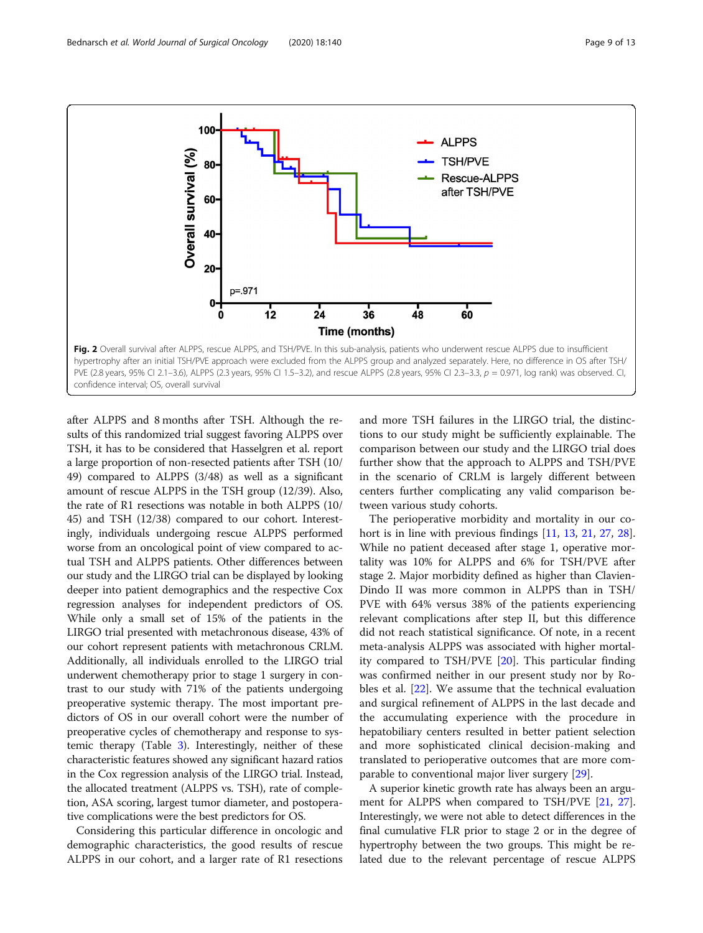<span id="page-8-0"></span>

after ALPPS and 8 months after TSH. Although the results of this randomized trial suggest favoring ALPPS over TSH, it has to be considered that Hasselgren et al. report a large proportion of non-resected patients after TSH (10/ 49) compared to ALPPS (3/48) as well as a significant amount of rescue ALPPS in the TSH group (12/39). Also, the rate of R1 resections was notable in both ALPPS (10/ 45) and TSH (12/38) compared to our cohort. Interestingly, individuals undergoing rescue ALPPS performed worse from an oncological point of view compared to actual TSH and ALPPS patients. Other differences between our study and the LIRGO trial can be displayed by looking deeper into patient demographics and the respective Cox regression analyses for independent predictors of OS. While only a small set of 15% of the patients in the LIRGO trial presented with metachronous disease, 43% of our cohort represent patients with metachronous CRLM. Additionally, all individuals enrolled to the LIRGO trial underwent chemotherapy prior to stage 1 surgery in contrast to our study with 71% of the patients undergoing preoperative systemic therapy. The most important predictors of OS in our overall cohort were the number of preoperative cycles of chemotherapy and response to systemic therapy (Table [3](#page-9-0)). Interestingly, neither of these characteristic features showed any significant hazard ratios in the Cox regression analysis of the LIRGO trial. Instead, the allocated treatment (ALPPS vs. TSH), rate of completion, ASA scoring, largest tumor diameter, and postoperative complications were the best predictors for OS.

Considering this particular difference in oncologic and demographic characteristics, the good results of rescue ALPPS in our cohort, and a larger rate of R1 resections and more TSH failures in the LIRGO trial, the distinctions to our study might be sufficiently explainable. The comparison between our study and the LIRGO trial does further show that the approach to ALPPS and TSH/PVE in the scenario of CRLM is largely different between centers further complicating any valid comparison between various study cohorts.

The perioperative morbidity and mortality in our co-hort is in line with previous findings [\[11](#page-11-0), [13,](#page-11-0) [21,](#page-12-0) [27](#page-12-0), [28](#page-12-0)]. While no patient deceased after stage 1, operative mortality was 10% for ALPPS and 6% for TSH/PVE after stage 2. Major morbidity defined as higher than Clavien-Dindo II was more common in ALPPS than in TSH/ PVE with 64% versus 38% of the patients experiencing relevant complications after step II, but this difference did not reach statistical significance. Of note, in a recent meta-analysis ALPPS was associated with higher mortality compared to TSH/PVE [\[20](#page-12-0)]. This particular finding was confirmed neither in our present study nor by Robles et al. [[22\]](#page-12-0). We assume that the technical evaluation and surgical refinement of ALPPS in the last decade and the accumulating experience with the procedure in hepatobiliary centers resulted in better patient selection and more sophisticated clinical decision-making and translated to perioperative outcomes that are more comparable to conventional major liver surgery [[29](#page-12-0)].

A superior kinetic growth rate has always been an argument for ALPPS when compared to TSH/PVE [[21](#page-12-0), [27](#page-12-0)]. Interestingly, we were not able to detect differences in the final cumulative FLR prior to stage 2 or in the degree of hypertrophy between the two groups. This might be related due to the relevant percentage of rescue ALPPS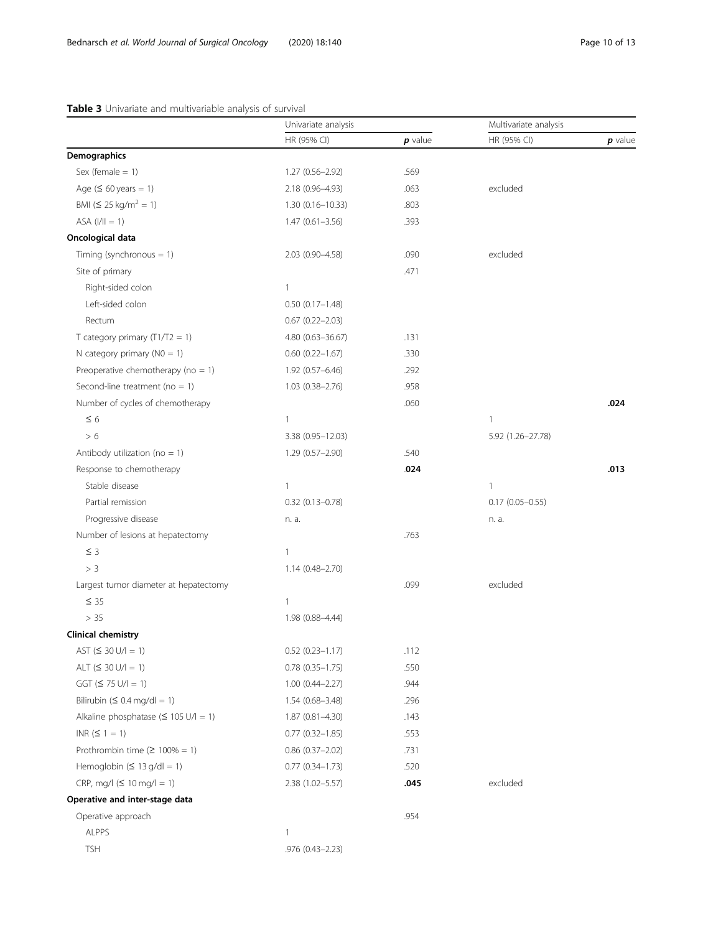# <span id="page-9-0"></span>Table 3 Univariate and multivariable analysis of survival

|                                            | Univariate analysis    |           | Multivariate analysis |           |
|--------------------------------------------|------------------------|-----------|-----------------------|-----------|
|                                            | HR (95% CI)            | $p$ value | HR (95% CI)           | $p$ value |
| Demographics                               |                        |           |                       |           |
| Sex (female $= 1$ )                        | $1.27(0.56 - 2.92)$    | .569      |                       |           |
| Age $(560 \text{ years} = 1)$              | 2.18 (0.96-4.93)       | .063      | excluded              |           |
| BMI ( $\leq 25$ kg/m <sup>2</sup> = 1)     | 1.30 (0.16-10.33)      | .803      |                       |           |
| $ASA (I/II = 1)$                           | $1.47(0.61 - 3.56)$    | .393      |                       |           |
| Oncological data                           |                        |           |                       |           |
| Timing (synchronous $= 1$ )                | 2.03 (0.90-4.58)       | .090      | excluded              |           |
| Site of primary                            |                        | .471      |                       |           |
| Right-sided colon                          | $\mathbf{1}$           |           |                       |           |
| Left-sided colon                           | $0.50(0.17 - 1.48)$    |           |                       |           |
| Rectum                                     | $0.67$ $(0.22 - 2.03)$ |           |                       |           |
| T category primary $(T1/T2 = 1)$           | 4.80 (0.63-36.67)      | .131      |                       |           |
| N category primary ( $NO = 1$ )            | $0.60$ $(0.22 - 1.67)$ | .330      |                       |           |
| Preoperative chemotherapy ( $no = 1$ )     | $1.92(0.57 - 6.46)$    | .292      |                       |           |
| Second-line treatment ( $no = 1$ )         | 1.03 (0.38-2.76)       | .958      |                       |           |
| Number of cycles of chemotherapy           |                        | .060      |                       | .024      |
| $\leq 6$                                   | $\mathbf{1}$           |           | 1                     |           |
| > 6                                        | 3.38 (0.95-12.03)      |           | 5.92 (1.26-27.78)     |           |
| Antibody utilization ( $no = 1$ )          | 1.29 (0.57-2.90)       | .540      |                       |           |
| Response to chemotherapy                   |                        | .024      |                       | .013      |
| Stable disease                             | $\mathbf{1}$           |           | 1                     |           |
| Partial remission                          | $0.32$ (0.13-0.78)     |           | $0.17(0.05 - 0.55)$   |           |
| Progressive disease                        | n. a.                  |           | n. a.                 |           |
| Number of lesions at hepatectomy           |                        | .763      |                       |           |
| $\leq$ 3                                   | $\mathbf{1}$           |           |                       |           |
| > 3                                        | $1.14(0.48 - 2.70)$    |           |                       |           |
| Largest tumor diameter at hepatectomy      |                        | .099      | excluded              |           |
| $\leq$ 35                                  | $\mathbf{1}$           |           |                       |           |
| > 35                                       | 1.98 (0.88-4.44)       |           |                       |           |
| Clinical chemistry                         |                        |           |                       |           |
| $AST (≤ 30 U/l = 1)$                       | $0.52$ $(0.23 - 1.17)$ | .112      |                       |           |
| ALT $(530 U/l = 1)$                        | $0.78$ $(0.35 - 1.75)$ | .550      |                       |           |
| $GGT (575 U/l = 1)$                        | $1.00(0.44 - 2.27)$    | .944      |                       |           |
| Bilirubin ( $\leq 0.4$ mg/dl = 1)          | $1.54(0.68 - 3.48)$    | .296      |                       |           |
| Alkaline phosphatase ( $\leq 105$ U/l = 1) | $1.87(0.81 - 4.30)$    | .143      |                       |           |
| $INR (5 1 = 1)$                            | $0.77$ $(0.32 - 1.85)$ | .553      |                       |           |
| Prothrombin time ( $\geq 100\% = 1$ )      | $0.86$ $(0.37 - 2.02)$ | .731      |                       |           |
| Hemoglobin ( $\leq 13$ g/dl = 1)           | $0.77(0.34 - 1.73)$    | .520      |                       |           |
| $CRP, mq/1 ( \leq 10$ mg/l = 1)            | 2.38 (1.02-5.57)       | .045      | excluded              |           |
| Operative and inter-stage data             |                        |           |                       |           |
| Operative approach                         |                        | .954      |                       |           |
| <b>ALPPS</b>                               | 1                      |           |                       |           |
| <b>TSH</b>                                 | .976 (0.43-2.23)       |           |                       |           |
|                                            |                        |           |                       |           |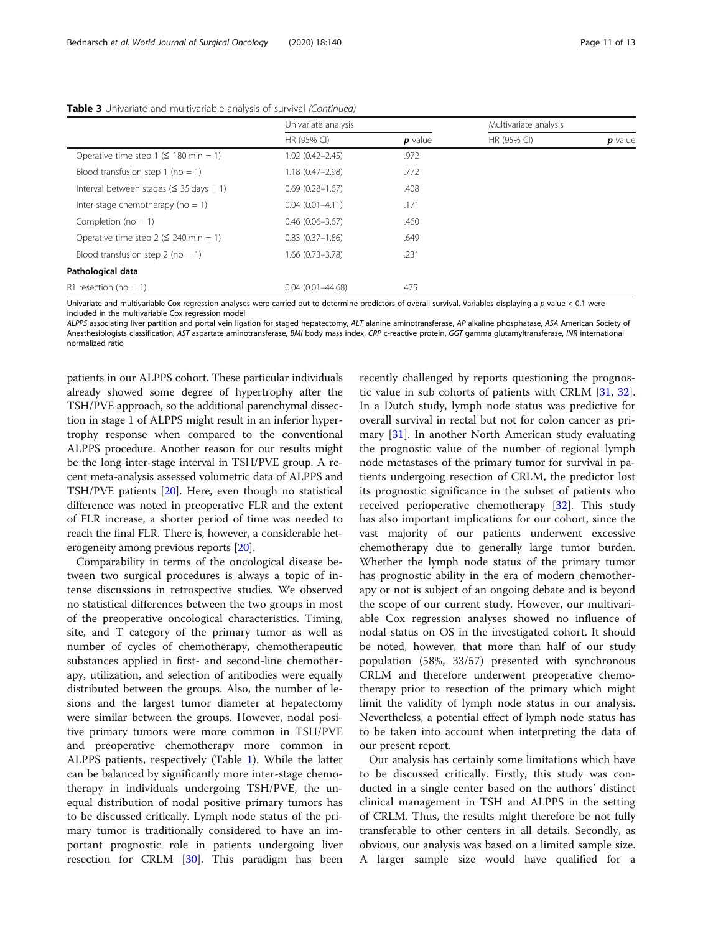|                                                 | Univariate analysis  |           | Multivariate analysis |           |
|-------------------------------------------------|----------------------|-----------|-----------------------|-----------|
|                                                 | HR (95% CI)          | $p$ value | HR (95% CI)           | $p$ value |
| Operative time step 1 ( $\leq$ 180 min = 1)     | $1.02(0.42 - 2.45)$  | .972      |                       |           |
| Blood transfusion step 1 (no = 1)               | $1.18(0.47 - 2.98)$  | .772      |                       |           |
| Interval between stages ( $\leq$ 35 days = 1)   | $0.69(0.28 - 1.67)$  | .408      |                       |           |
| Inter-stage chemotherapy ( $no = 1$ )           | $0.04(0.01 - 4.11)$  | .171      |                       |           |
| Completion ( $no = 1$ )                         | $0.46(0.06 - 3.67)$  | .460      |                       |           |
| Operative time step $2 (5 240 \text{ min} = 1)$ | $0.83(0.37 - 1.86)$  | .649      |                       |           |
| Blood transfusion step 2 (no = 1)               | $1.66(0.73 - 3.78)$  | .231      |                       |           |
| Pathological data                               |                      |           |                       |           |
| R1 resection (no $= 1$ )                        | $0.04(0.01 - 44.68)$ | 475       |                       |           |

Table 3 Univariate and multivariable analysis of survival (Continued)

Univariate and multivariable Cox regression analyses were carried out to determine predictors of overall survival. Variables displaying a p value < 0.1 were included in the multivariable Cox regression model

ALPPS associating liver partition and portal vein ligation for staged hepatectomy, ALT alanine aminotransferase, AP alkaline phosphatase, ASA American Society of Anesthesiologists classification, AST aspartate aminotransferase, BMI body mass index, CRP c-reactive protein, GGT gamma glutamyltransferase, INR international normalized ratio

patients in our ALPPS cohort. These particular individuals already showed some degree of hypertrophy after the TSH/PVE approach, so the additional parenchymal dissection in stage 1 of ALPPS might result in an inferior hypertrophy response when compared to the conventional ALPPS procedure. Another reason for our results might be the long inter-stage interval in TSH/PVE group. A recent meta-analysis assessed volumetric data of ALPPS and TSH/PVE patients [\[20\]](#page-12-0). Here, even though no statistical difference was noted in preoperative FLR and the extent of FLR increase, a shorter period of time was needed to reach the final FLR. There is, however, a considerable heterogeneity among previous reports [\[20\]](#page-12-0).

Comparability in terms of the oncological disease between two surgical procedures is always a topic of intense discussions in retrospective studies. We observed no statistical differences between the two groups in most of the preoperative oncological characteristics. Timing, site, and T category of the primary tumor as well as number of cycles of chemotherapy, chemotherapeutic substances applied in first- and second-line chemotherapy, utilization, and selection of antibodies were equally distributed between the groups. Also, the number of lesions and the largest tumor diameter at hepatectomy were similar between the groups. However, nodal positive primary tumors were more common in TSH/PVE and preoperative chemotherapy more common in ALPPS patients, respectively (Table [1](#page-3-0)). While the latter can be balanced by significantly more inter-stage chemotherapy in individuals undergoing TSH/PVE, the unequal distribution of nodal positive primary tumors has to be discussed critically. Lymph node status of the primary tumor is traditionally considered to have an important prognostic role in patients undergoing liver resection for CRLM [\[30](#page-12-0)]. This paradigm has been

recently challenged by reports questioning the prognostic value in sub cohorts of patients with CRLM [\[31,](#page-12-0) [32](#page-12-0)]. In a Dutch study, lymph node status was predictive for overall survival in rectal but not for colon cancer as primary [\[31](#page-12-0)]. In another North American study evaluating the prognostic value of the number of regional lymph node metastases of the primary tumor for survival in patients undergoing resection of CRLM, the predictor lost its prognostic significance in the subset of patients who received perioperative chemotherapy [\[32\]](#page-12-0). This study has also important implications for our cohort, since the vast majority of our patients underwent excessive chemotherapy due to generally large tumor burden. Whether the lymph node status of the primary tumor has prognostic ability in the era of modern chemotherapy or not is subject of an ongoing debate and is beyond the scope of our current study. However, our multivariable Cox regression analyses showed no influence of nodal status on OS in the investigated cohort. It should be noted, however, that more than half of our study population (58%, 33/57) presented with synchronous CRLM and therefore underwent preoperative chemotherapy prior to resection of the primary which might limit the validity of lymph node status in our analysis. Nevertheless, a potential effect of lymph node status has to be taken into account when interpreting the data of our present report.

Our analysis has certainly some limitations which have to be discussed critically. Firstly, this study was conducted in a single center based on the authors' distinct clinical management in TSH and ALPPS in the setting of CRLM. Thus, the results might therefore be not fully transferable to other centers in all details. Secondly, as obvious, our analysis was based on a limited sample size. A larger sample size would have qualified for a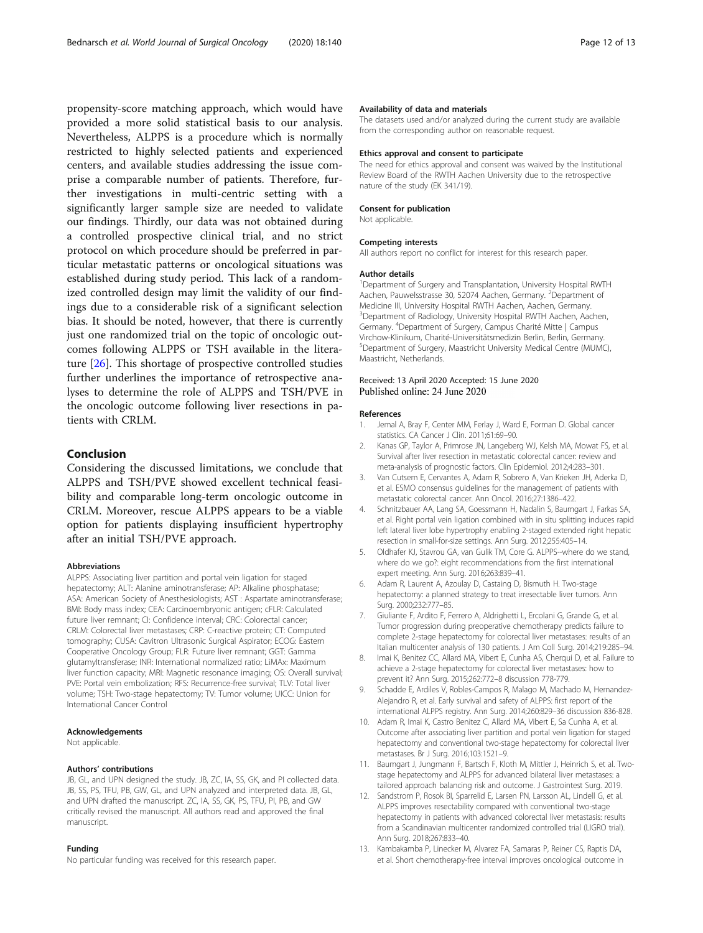<span id="page-11-0"></span>propensity-score matching approach, which would have provided a more solid statistical basis to our analysis. Nevertheless, ALPPS is a procedure which is normally restricted to highly selected patients and experienced centers, and available studies addressing the issue comprise a comparable number of patients. Therefore, further investigations in multi-centric setting with a significantly larger sample size are needed to validate our findings. Thirdly, our data was not obtained during a controlled prospective clinical trial, and no strict protocol on which procedure should be preferred in particular metastatic patterns or oncological situations was established during study period. This lack of a randomized controlled design may limit the validity of our findings due to a considerable risk of a significant selection bias. It should be noted, however, that there is currently just one randomized trial on the topic of oncologic outcomes following ALPPS or TSH available in the literature [[26](#page-12-0)]. This shortage of prospective controlled studies further underlines the importance of retrospective analyses to determine the role of ALPPS and TSH/PVE in the oncologic outcome following liver resections in patients with CRLM.

# Conclusion

Considering the discussed limitations, we conclude that ALPPS and TSH/PVE showed excellent technical feasibility and comparable long-term oncologic outcome in CRLM. Moreover, rescue ALPPS appears to be a viable option for patients displaying insufficient hypertrophy after an initial TSH/PVE approach.

#### Abbreviations

ALPPS: Associating liver partition and portal vein ligation for staged hepatectomy; ALT: Alanine aminotransferase; AP: Alkaline phosphatase; ASA: American Society of Anesthesiologists; AST : Aspartate aminotransferase; BMI: Body mass index; CEA: Carcinoembryonic antigen; cFLR: Calculated future liver remnant; CI: Confidence interval; CRC: Colorectal cancer; CRLM: Colorectal liver metastases; CRP: C-reactive protein; CT: Computed tomography; CUSA: Cavitron Ultrasonic Surgical Aspirator; ECOG: Eastern Cooperative Oncology Group; FLR: Future liver remnant; GGT: Gamma glutamyltransferase; INR: International normalized ratio; LiMAx: Maximum liver function capacity; MRI: Magnetic resonance imaging; OS: Overall survival; PVE: Portal vein embolization; RFS: Recurrence-free survival; TLV: Total liver volume; TSH: Two-stage hepatectomy; TV: Tumor volume; UICC: Union for International Cancer Control

#### Acknowledgements

Not applicable.

#### Authors' contributions

JB, GL, and UPN designed the study. JB, ZC, IA, SS, GK, and PI collected data. JB, SS, PS, TFU, PB, GW, GL, and UPN analyzed and interpreted data. JB, GL, and UPN drafted the manuscript. ZC, IA, SS, GK, PS, TFU, PI, PB, and GW critically revised the manuscript. All authors read and approved the final manuscript.

#### Funding

No particular funding was received for this research paper.

#### Availability of data and materials

The datasets used and/or analyzed during the current study are available from the corresponding author on reasonable request.

#### Ethics approval and consent to participate

The need for ethics approval and consent was waived by the Institutional Review Board of the RWTH Aachen University due to the retrospective nature of the study (EK 341/19).

#### Consent for publication

Not applicable.

#### Competing interests

All authors report no conflict for interest for this research paper.

#### Author details

<sup>1</sup>Department of Surgery and Transplantation, University Hospital RWTH Aachen, Pauwelsstrasse 30, 52074 Aachen, Germany. <sup>2</sup>Department of Medicine III, University Hospital RWTH Aachen, Aachen, Germany. 3 Department of Radiology, University Hospital RWTH Aachen, Aachen, Germany. <sup>4</sup>Department of Surgery, Campus Charité Mitte | Campus Virchow-Klinikum, Charité-Universitätsmedizin Berlin, Berlin, Germany. 5 Department of Surgery, Maastricht University Medical Centre (MUMC), Maastricht, Netherlands.

# Received: 13 April 2020 Accepted: 15 June 2020 Published online: 24 June 2020

#### References

- 1. Jemal A, Bray F, Center MM, Ferlay J, Ward E, Forman D. Global cancer statistics. CA Cancer J Clin. 2011;61:69–90.
- 2. Kanas GP, Taylor A, Primrose JN, Langeberg WJ, Kelsh MA, Mowat FS, et al. Survival after liver resection in metastatic colorectal cancer: review and meta-analysis of prognostic factors. Clin Epidemiol. 2012;4:283–301.
- 3. Van Cutsem E, Cervantes A, Adam R, Sobrero A, Van Krieken JH, Aderka D, et al. ESMO consensus guidelines for the management of patients with metastatic colorectal cancer. Ann Oncol. 2016;27:1386–422.
- 4. Schnitzbauer AA, Lang SA, Goessmann H, Nadalin S, Baumgart J, Farkas SA, et al. Right portal vein ligation combined with in situ splitting induces rapid left lateral liver lobe hypertrophy enabling 2-staged extended right hepatic resection in small-for-size settings. Ann Surg. 2012;255:405–14.
- 5. Oldhafer KJ, Stavrou GA, van Gulik TM, Core G. ALPPS--where do we stand, where do we go?: eight recommendations from the first international expert meeting. Ann Surg. 2016;263:839–41.
- 6. Adam R, Laurent A, Azoulay D, Castaing D, Bismuth H. Two-stage hepatectomy: a planned strategy to treat irresectable liver tumors. Ann Surg. 2000;232:777–85.
- 7. Giuliante F, Ardito F, Ferrero A, Aldrighetti L, Ercolani G, Grande G, et al. Tumor progression during preoperative chemotherapy predicts failure to complete 2-stage hepatectomy for colorectal liver metastases: results of an Italian multicenter analysis of 130 patients. J Am Coll Surg. 2014;219:285–94.
- 8. Imai K, Benitez CC, Allard MA, Vibert E, Cunha AS, Cherqui D, et al. Failure to achieve a 2-stage hepatectomy for colorectal liver metastases: how to prevent it? Ann Surg. 2015;262:772–8 discussion 778-779.
- Schadde E, Ardiles V, Robles-Campos R, Malago M, Machado M, Hernandez-Alejandro R, et al. Early survival and safety of ALPPS: first report of the international ALPPS registry. Ann Surg. 2014;260:829–36 discussion 836-828.
- 10. Adam R, Imai K, Castro Benitez C, Allard MA, Vibert E, Sa Cunha A, et al. Outcome after associating liver partition and portal vein ligation for staged hepatectomy and conventional two-stage hepatectomy for colorectal liver metastases. Br J Surg. 2016;103:1521–9.
- 11. Baumgart J, Jungmann F, Bartsch F, Kloth M, Mittler J, Heinrich S, et al. Twostage hepatectomy and ALPPS for advanced bilateral liver metastases: a tailored approach balancing risk and outcome. J Gastrointest Surg. 2019.
- 12. Sandstrom P, Rosok BI, Sparrelid E, Larsen PN, Larsson AL, Lindell G, et al. ALPPS improves resectability compared with conventional two-stage hepatectomy in patients with advanced colorectal liver metastasis: results from a Scandinavian multicenter randomized controlled trial (LIGRO trial). Ann Surg. 2018;267:833–40.
- 13. Kambakamba P, Linecker M, Alvarez FA, Samaras P, Reiner CS, Raptis DA, et al. Short chemotherapy-free interval improves oncological outcome in